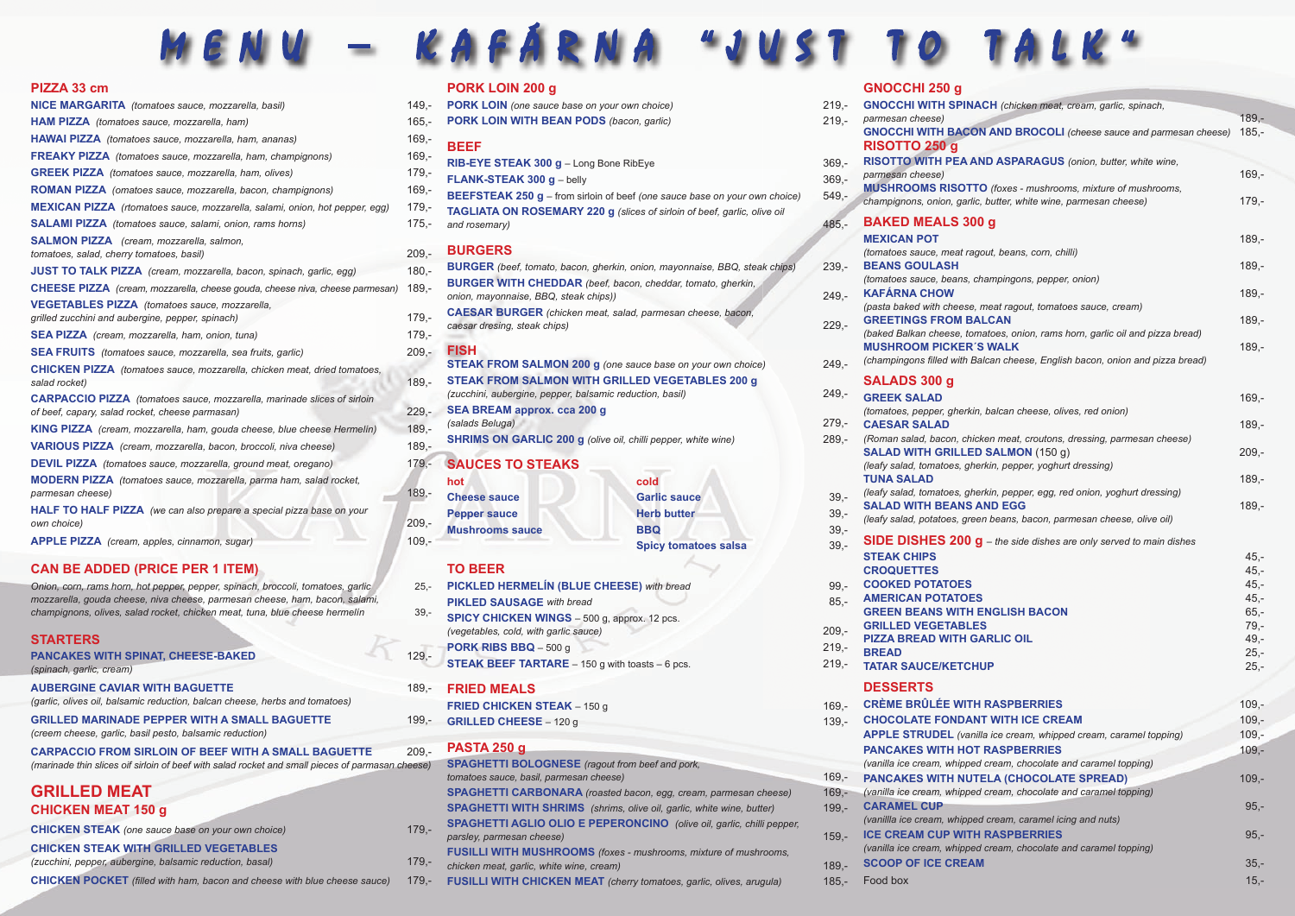# MENU – KAFÁRNA "JUST TO T

### **PIZZA 33 cm**

| <b>NICE MARGARITA</b> (tomatoes sauce, mozzarella, basil)                                 | 149,-   |
|-------------------------------------------------------------------------------------------|---------|
| <b>HAM PIZZA</b> (tomatoes sauce, mozzarella, ham)                                        | $165,-$ |
| HAWAI PIZZA (tomatoes sauce, mozzarella, ham, ananas)                                     | $169,-$ |
| <b>FREAKY PIZZA</b> (tomatoes sauce, mozzarella, ham, champignons)                        | $169 -$ |
| <b>GREEK PIZZA</b> (tomatoes sauce, mozzarella, ham, olives)                              | $179,-$ |
| <b>ROMAN PIZZA</b> (omatoes sauce, mozzarella, bacon, champignons)                        | $169 -$ |
| MEXICAN PIZZA (rtomatoes sauce, mozzarella, salami, onion, hot pepper, egg)               | $179,-$ |
| <b>SALAMI PIZZA</b> (tomatoes sauce, salami, onion, rams horns)                           | $175,-$ |
| <b>SALMON PIZZA</b> (cream, mozzarella, salmon,                                           |         |
| tomatoes, salad, cherry tomatoes, basil)                                                  | $209,-$ |
| <b>JUST TO TALK PIZZA</b> (cream, mozzarella, bacon, spinach, garlic, egg)                | $180,-$ |
| <b>CHEESE PIZZA</b> (cream, mozzarella, cheese gouda, cheese niva, cheese parmesan)       | $189,-$ |
| <b>VEGETABLES PIZZA</b> (tomatoes sauce, mozzarella,                                      |         |
| grilled zucchini and aubergine, pepper, spinach)                                          | $179,-$ |
| <b>SEA PIZZA</b> (cream, mozzarella, ham, onion, tuna)                                    | $179,-$ |
| <b>SEA FRUITS</b> (tomatoes sauce, mozzarella, sea fruits, garlic)                        | $209,-$ |
| CHICKEN PIZZA (tomatoes sauce, mozzarella, chicken meat, dried tomatoes,<br>salad rocket) | $189 -$ |
| <b>CARPACCIO PIZZA</b> (tomatoes sauce, mozzarella, marinade slices of sirloin            |         |
| of beef, capary, salad rocket, cheese parmasan)                                           | $229,-$ |
| <b>KING PIZZA</b> (cream, mozzarella, ham, gouda cheese, blue cheese Hermelin)            | $189,-$ |
| VARIOUS PIZZA (cream, mozzarella, bacon, broccoli, niva cheese)                           | $189,-$ |
| <b>DEVIL PIZZA</b> (tomatoes sauce, mozzarella, ground meat, oregano)                     | $179,-$ |
| MODERN PIZZA (tomatoes sauce, mozzarella, parma ham, salad rocket,<br>parmesan cheese)    | $189,-$ |
| HALF TO HALF PIZZA (we can also prepare a special pizza base on your                      |         |
| own choice)                                                                               | $209,-$ |
| <b>APPLE PIZZA</b> (cream, apples, cinnamon, sugar)                                       | $109,-$ |

### **CAN BE ADDED (PRICE PER 1 ITEM)**

*Onion, corn, rams horn, hot pepper, pepper, spinach, broccoli, tomatoes, garlic* 25, *mozzarella, gouda cheese, niva cheese, parmesan cheese, ham, bacon, salami, champignons, olives, salad rocket, chicken meat, tuna, blue cheese hermelín* 39,-

### **STARTERS**

| PANCAKES WITH SPINAT, CHEESE-BAKED |  |
|------------------------------------|--|
|                                    |  |

*(spinach, garlic, cream)*

**AUBERGINE CAVIAR WITH BAGUETTE**189,- *(garlic, olives oil, balsamic reduction, balcan cheese, herbs and tomatoes)*

**GRILLED MARINADE PEPPER WITH A SMALL BAGUETTE** 199,- *(creem cheese, garlic, basil pesto, balsamic reduction)*

**CARPACCIO FROM SIRLOIN OF BEEF WITH A SMALL BAGUETTE** 209,- *(marinade thin slices oif sirloin of beef with salad rocket and small pieces of parmasan cheese)*

## **GRILLED MEAT CHICKEN MEAT 150 g**

**CHICKEN STEAK** *(one sauce base on your own choice)* 179,-

### **CHICKEN STEAK WITH GRILLED VEGETABLES**

*(zucchini, pepper, aubergine, balsamic reduction, basal)* 179,-

**CHICKEN POCKET** *(filled with ham, bacon and cheese with blue cheese sauce)* 179,

### **PORK LOIN 200 g**

|    | <b>PURK LUIN 200 G</b>                                                                                                       |                                                                                   |                    |
|----|------------------------------------------------------------------------------------------------------------------------------|-----------------------------------------------------------------------------------|--------------------|
|    | PORK LOIN (one sauce base on your own choice)                                                                                |                                                                                   | $219,-$            |
|    | PORK LOIN WITH BEAN PODS (bacon, garlic)                                                                                     |                                                                                   | $219,-$            |
| C, | <b>BEEF</b>                                                                                                                  |                                                                                   |                    |
| C, |                                                                                                                              |                                                                                   | $369,-$            |
| C, | RIB-EYE STEAK 300 g - Long Bone RibEye<br>FLANK-STEAK 300 g - belly                                                          |                                                                                   |                    |
| C, |                                                                                                                              | <b>BEEFSTEAK 250 g</b> – from sirloin of beef (one sauce base on your own choice) | $369,-$<br>$549,-$ |
| C, |                                                                                                                              | TAGLIATA ON ROSEMARY 220 g (slices of sirloin of beef, garlic, olive oil          |                    |
| ÷, | and rosemary)                                                                                                                |                                                                                   | $485,-$            |
|    |                                                                                                                              |                                                                                   |                    |
|    | <b>BURGERS</b>                                                                                                               |                                                                                   |                    |
|    |                                                                                                                              | <b>BURGER</b> (beef, tomato, bacon, gherkin, onion, mayonnaise, BBQ, steak chips) | $239,-$            |
|    | <b>BURGER WITH CHEDDAR</b> (beef, bacon, cheddar, tomato, gherkin,<br>onion, mayonnaise, BBQ, steak chips))                  |                                                                                   | $249,-$            |
|    | <b>CAESAR BURGER</b> (chicken meat, salad, parmesan cheese, bacon,                                                           |                                                                                   |                    |
|    | caesar dresing, steak chips)                                                                                                 |                                                                                   | $229,-$            |
|    |                                                                                                                              |                                                                                   |                    |
|    | <b>FISH</b>                                                                                                                  |                                                                                   |                    |
|    | <b>STEAK FROM SALMON 200 g</b> (one sauce base on your own choice)<br><b>STEAK FROM SALMON WITH GRILLED VEGETABLES 200 g</b> |                                                                                   | $249,-$            |
|    | (zucchini, aubergine, pepper, balsamic reduction, basil)                                                                     |                                                                                   | $249,-$            |
|    | <b>SEA BREAM approx. cca 200 g</b>                                                                                           |                                                                                   |                    |
|    | (salads Beluga)                                                                                                              |                                                                                   | $279,-$            |
|    | <b>SHRIMS ON GARLIC 200 g</b> (olive oil, chilli pepper, white wine)                                                         |                                                                                   | $289,-$            |
|    | <b>SAUCES TO STEAKS</b>                                                                                                      |                                                                                   |                    |
|    | hot                                                                                                                          | cold                                                                              |                    |
| C, | <b>Cheese sauce</b>                                                                                                          | <b>Garlic sauce</b>                                                               | $39,-$             |
|    | <b>Pepper sauce</b>                                                                                                          | <b>Herb butter</b>                                                                | $39 -$             |
| Ē, | <b>Mushrooms sauce</b>                                                                                                       | <b>BBQ</b>                                                                        | $39 -$             |
|    |                                                                                                                              | <b>Spicy tomatoes salsa</b>                                                       | $39,-$             |
|    |                                                                                                                              |                                                                                   |                    |
|    | <b>TO BEER</b>                                                                                                               |                                                                                   |                    |
|    | PICKLED HERMELÍN (BLUE CHEESE) with bread<br><b>PIKLED SAUSAGE</b> with bread                                                |                                                                                   | $99,-$             |
|    | SPICY CHICKEN WINGS - 500 g, approx. 12 pcs.                                                                                 |                                                                                   | $85,-$             |
|    | (vegetables, cold, with garlic sauce)                                                                                        |                                                                                   | $209,-$            |
|    | PORK RIBS BBQ - 500 g                                                                                                        |                                                                                   | $219,-$            |
|    |                                                                                                                              |                                                                                   |                    |

**STEAK BEEF TARTARE** – 150 g with toasts – 6 pcs. 219,-

### **FRIED MEALS**

- **FRIED CHICKEN STEAK 150 g**
- **GRILLED CHEESE 120 g**

### **PASTA 250 g**

| <b>SPAGHETTI BOLOGNESE</b> (ragout from beef and pork,                       |         |
|------------------------------------------------------------------------------|---------|
| tomatoes sauce, basil, parmesan cheese)                                      | 169.-   |
| <b>SPAGHETTI CARBONARA</b> (roasted bacon, egg, cream, parmesan cheese)      | $169 -$ |
| <b>SPAGHETTI WITH SHRIMS</b> (shrims, olive oil, garlic, white wine, butter) | $199 -$ |
| <b>SPAGHETTI AGLIO OLIO E PEPERONCINO</b> (olive oil, garlic, chilli pepper, |         |
| parsley, parmesan cheese)                                                    | $159 -$ |
| <b>FUSILLI WITH MUSHROOMS</b> (foxes - mushrooms, mixture of mushrooms,      |         |
| chicken meat, garlic, white wine, cream)                                     | $189 -$ |
| <b>FUSILLI WITH CHICKEN MEAT</b> (cherry tomatoes, garlic, olives, arugula)  | $185 -$ |

### **GNOCCHI 250 g**

| $19,-$       | <b>GNOCCHI WITH SPINACH</b> (chicken meat, cream, garlic, spinach,                                                                     |                    |
|--------------|----------------------------------------------------------------------------------------------------------------------------------------|--------------------|
| $19,-$       | parmesan cheese)<br><b>GNOCCHI WITH BACON AND BROCOLI</b> (cheese sauce and parmesan cheese)                                           | $189,-$<br>$185,-$ |
|              | <b>RISOTTO 250 g</b>                                                                                                                   |                    |
| 69,-<br>69,- | RISOTTO WITH PEA AND ASPARAGUS (onion, butter, white wine,<br>parmesan cheese)                                                         | $169,-$            |
| 49,-         | <b>MUSHROOMS RISOTTO</b> (foxes - mushrooms, mixture of mushrooms,<br>champignons, onion, garlic, butter, white wine, parmesan cheese) | $179,-$            |
| $85,-$       | <b>BAKED MEALS 300 g</b>                                                                                                               |                    |
|              | <b>MEXICAN POT</b><br>(tomatoes sauce, meat ragout, beans, corn, chilli)                                                               | $189,-$            |
| 39,-         | <b>BEANS GOULASH</b><br>(tomatoes sauce, beans, champingons, pepper, onion)                                                            | $189,-$            |
| 49,-         | <b>KAFÁRNA CHOW</b>                                                                                                                    | $189,-$            |
| 29,-         | (pasta baked with cheese, meat ragout, tomatoes sauce, cream)<br><b>GREETINGS FROM BALCAN</b>                                          | $189,-$            |
|              | (baked Balkan cheese, tomatoes, onion, rams horn, garlic oil and pizza bread)<br><b>MUSHROOM PICKER'S WALK</b>                         | $189,-$            |
| 49,-         | (champingons filled with Balcan cheese, English bacon, onion and pizza bread)                                                          |                    |
| 49,-         | <b>SALADS 300 g</b>                                                                                                                    |                    |
|              | <b>GREEK SALAD</b><br>(tomatoes, pepper, gherkin, balcan cheese, olives, red onion)                                                    | $169,-$            |
| 79,-<br>89,- | <b>CAESAR SALAD</b><br>(Roman salad, bacon, chicken meat, croutons, dressing, parmesan cheese)                                         | $189,-$            |
|              | <b>SALAD WITH GRILLED SALMON (150 g)</b>                                                                                               | $209,-$            |
|              | (leafy salad, tomatoes, gherkin, pepper, yoghurt dressing)                                                                             |                    |
|              | <b>TUNA SALAD</b><br>(leafy salad, tomatoes, gherkin, pepper, egg, red onion, yoghurt dressing)                                        | $189,-$            |
| 39,-<br>39,- | <b>SALAD WITH BEANS AND EGG</b><br>(leafy salad, potatoes, green beans, bacon, parmesan cheese, olive oil)                             | $189,-$            |
| 39,-         |                                                                                                                                        |                    |
| 39,-         | SIDE DISHES 200 g - the side dishes are only served to main dishes<br><b>STEAK CHIPS</b>                                               | $45,-$             |
|              | <b>CROQUETTES</b>                                                                                                                      | $45,-$             |
| 99,          | <b>COOKED POTATOES</b>                                                                                                                 | $45,-$             |
| $85,-$       | <b>AMERICAN POTATOES</b>                                                                                                               | $45,-$             |
|              | <b>GREEN BEANS WITH ENGLISH BACON</b>                                                                                                  | $65,-$             |
| 09,-         | <b>GRILLED VEGETABLES</b>                                                                                                              | $79,-$             |
| 19,-         | <b>PIZZA BREAD WITH GARLIC OIL</b>                                                                                                     | $49,-$             |
|              | <b>BREAD</b>                                                                                                                           | $25,-$             |
| 19,-         | <b>TATAR SAUCE/KETCHUP</b>                                                                                                             | $25,-$             |
|              | <b>DESSERTS</b>                                                                                                                        |                    |
| 69,-         | <b>CRÈME BRÛLÉE WITH RASPBERRIES</b>                                                                                                   | $109,-$            |
| 39,-         | <b>CHOCOLATE FONDANT WITH ICE CREAM</b>                                                                                                | $109,-$            |
|              | APPLE STRUDEL (vanilla ice cream, whipped cream, caramel topping)                                                                      | $109,-$            |
|              | <b>PANCAKES WITH HOT RASPBERRIES</b>                                                                                                   | $109,-$            |
|              | (vanilla ice cream, whipped cream, chocolate and caramel topping)                                                                      |                    |
| 69,-         | <b>PANCAKES WITH NUTELA (CHOCOLATE SPREAD)</b>                                                                                         | $109,-$            |
| $69,-$       | (vanilla ice cream, whipped cream, chocolate and caramel topping)                                                                      |                    |
| 99,-         | <b>CARAMEL CUP</b><br>(vanillla ice cream, whipped cream, caramel icing and nuts)                                                      | $95,-$             |
| $59,-$       | <b>ICE CREAM CUP WITH RASPBERRIES</b><br>(vanilla ice cream, whipped cream, chocolate and caramel topping)                             | $95,-$             |
| 89,-         | <b>SCOOP OF ICE CREAM</b>                                                                                                              | $35,-$             |
| $85,-$       | Food box                                                                                                                               | $15,-$             |

| 19,-             | <b>GNOCCHI WITH SPINACH</b> (chicken meat, cream, garlic, spinach,                                                                     |                    |
|------------------|----------------------------------------------------------------------------------------------------------------------------------------|--------------------|
| $19,-$           | parmesan cheese)<br><b>GNOCCHI WITH BACON AND BROCOLI</b> (cheese sauce and parmesan cheese)<br><b>RISOTTO 250 g</b>                   | $189,-$<br>$185,-$ |
| 69,-             | RISOTTO WITH PEA AND ASPARAGUS (onion, butter, white wine,<br>parmesan cheese)                                                         | $169,-$            |
| 69,-<br>49,-     | <b>MUSHROOMS RISOTTO</b> (foxes - mushrooms, mixture of mushrooms,<br>champignons, onion, garlic, butter, white wine, parmesan cheese) | $179,-$            |
| $85,-$           | <b>BAKED MEALS 300 g</b>                                                                                                               |                    |
|                  | <b>MEXICAN POT</b><br>(tomatoes sauce, meat ragout, beans, corn, chilli)                                                               | $189,-$            |
| 39,-             | <b>BEANS GOULASH</b><br>(tomatoes sauce, beans, champingons, pepper, onion)                                                            | $189,-$            |
| 49,-             | <b>KAFÁRNA CHOW</b><br>(pasta baked with cheese, meat ragout, tomatoes sauce, cream)                                                   | $189,-$            |
| 29,-             | <b>GREETINGS FROM BALCAN</b>                                                                                                           | $189,-$            |
|                  | (baked Balkan cheese, tomatoes, onion, rams horn, garlic oil and pizza bread)<br><b>MUSHROOM PICKER'S WALK</b>                         | $189,-$            |
| 49,-             | (champingons filled with Balcan cheese, English bacon, onion and pizza bread)                                                          |                    |
| 49,-             | <b>SALADS 300 g</b><br><b>GREEK SALAD</b>                                                                                              | $169,-$            |
|                  | (tomatoes, pepper, gherkin, balcan cheese, olives, red onion)                                                                          |                    |
| 79,-<br>89,-     | <b>CAESAR SALAD</b><br>(Roman salad, bacon, chicken meat, croutons, dressing, parmesan cheese)                                         | $189,-$            |
|                  | <b>SALAD WITH GRILLED SALMON (150 g)</b>                                                                                               | $209,-$            |
|                  | (leafy salad, tomatoes, gherkin, pepper, yoghurt dressing)<br><b>TUNA SALAD</b>                                                        | $189,-$            |
| 39,-             | (leafy salad, tomatoes, gherkin, pepper, egg, red onion, yoghurt dressing)                                                             |                    |
| 39,-<br>39,-     | <b>SALAD WITH BEANS AND EGG</b><br>(leafy salad, potatoes, green beans, bacon, parmesan cheese, olive oil)                             | $189,-$            |
| 39,-             | <b>SIDE DISHES 200 <math>g</math></b> – the side dishes are only served to main dishes                                                 |                    |
|                  | <b>STEAK CHIPS</b>                                                                                                                     | $45,-$             |
|                  | <b>CROQUETTES</b><br><b>COOKED POTATOES</b>                                                                                            | $45,-$<br>$45,-$   |
| 99,-             | <b>AMERICAN POTATOES</b>                                                                                                               | $45,-$             |
| $85,-$           | <b>GREEN BEANS WITH ENGLISH BACON</b>                                                                                                  | $65,-$             |
| 09,-             | <b>GRILLED VEGETABLES</b>                                                                                                              | $79,-$             |
|                  | <b>PIZZA BREAD WITH GARLIC OIL</b>                                                                                                     | $49,-$             |
| $19,-$<br>$19,-$ | <b>BREAD</b>                                                                                                                           | $25,-$             |
|                  | <b>TATAR SAUCE/KETCHUP</b>                                                                                                             | $25,-$             |
|                  | <b>DESSERTS</b>                                                                                                                        |                    |
| 69.-             | <b>CRÈME BRÛLÉE WITH RASPBERRIES</b>                                                                                                   | $109,-$            |
| 39,-             | <b>CHOCOLATE FONDANT WITH ICE CREAM</b>                                                                                                | $109,-$            |
|                  | APPLE STRUDEL (vanilla ice cream, whipped cream, caramel topping)<br><b>PANCAKES WITH HOT RASPBERRIES</b>                              | $109,-$<br>$109,-$ |
|                  | (vanilla ice cream, whipped cream, chocolate and caramel topping)                                                                      |                    |
| 69,-             | <b>PANCAKES WITH NUTELA (CHOCOLATE SPREAD)</b>                                                                                         | $109,-$            |
| 69,-<br>$99,-$   | (vanilla ice cream, whipped cream, chocolate and caramel topping)<br><b>CARAMEL CUP</b>                                                | $95,-$             |
|                  | (vanillla ice cream, whipped cream, caramel icing and nuts)                                                                            |                    |
| $59,-$           | <b>ICE CREAM CUP WITH RASPBERRIES</b><br>(vanilla ice cream, whipped cream, chocolate and caramel topping)                             | $95,-$             |
| 89,-             | <b>SCOOP OF ICE CREAM</b>                                                                                                              | $35,-$             |
| 85,-             | Food box                                                                                                                               | $15,-$             |
|                  |                                                                                                                                        |                    |

| :19,-            | <b>GNOCCHI WITH SPINACH</b> (chicken meat, cream, garlic, spinach,                                                   |                    |
|------------------|----------------------------------------------------------------------------------------------------------------------|--------------------|
| $19 -$           | parmesan cheese)<br><b>GNOCCHI WITH BACON AND BROCOLI</b> (cheese sauce and parmesan cheese)<br><b>RISOTTO 250 g</b> | $189,-$<br>$185,-$ |
| 69,-             | RISOTTO WITH PEA AND ASPARAGUS (onion, butter, white wine,                                                           |                    |
| $69 -$           | parmesan cheese)<br><b>MUSHROOMS RISOTTO</b> (foxes - mushrooms, mixture of mushrooms,                               | $169,-$            |
| 49,-             | champignons, onion, garlic, butter, white wine, parmesan cheese)                                                     | $179,-$            |
| $85,-$           | <b>BAKED MEALS 300 g</b>                                                                                             |                    |
|                  | <b>MEXICAN POT</b>                                                                                                   | $189,-$            |
| $39 -$           | (tomatoes sauce, meat ragout, beans, corn, chilli)<br><b>BEANS GOULASH</b>                                           | $189,-$            |
|                  | (tomatoes sauce, beans, champingons, pepper, onion)                                                                  |                    |
| $49 -$           | <b>KAFÁRNA CHOW</b>                                                                                                  | $189 -$            |
|                  | (pasta baked with cheese, meat ragout, tomatoes sauce, cream)<br><b>GREETINGS FROM BALCAN</b>                        | $189,-$            |
| $29 -$           | (baked Balkan cheese, tomatoes, onion, rams horn, garlic oil and pizza bread)                                        |                    |
|                  | <b>MUSHROOM PICKER'S WALK</b>                                                                                        | $189,-$            |
| $.49,-$          | (champingons filled with Balcan cheese, English bacon, onion and pizza bread)                                        |                    |
| :49,-            | <b>SALADS 300 g</b>                                                                                                  |                    |
|                  | <b>GREEK SALAD</b><br>(tomatoes, pepper, gherkin, balcan cheese, olives, red onion)                                  | $169,-$            |
| :79,-            | <b>CAESAR SALAD</b>                                                                                                  | $189,-$            |
| $.89,-$          | (Roman salad, bacon, chicken meat, croutons, dressing, parmesan cheese)                                              |                    |
|                  | <b>SALAD WITH GRILLED SALMON (150 g)</b><br>(leafy salad, tomatoes, gherkin, pepper, yoghurt dressing)               | $209,-$            |
|                  | <b>TUNA SALAD</b>                                                                                                    | $189,-$            |
| $39,-$           | (leafy salad, tomatoes, gherkin, pepper, egg, red onion, yoghurt dressing)                                           |                    |
| $39,-$           | <b>SALAD WITH BEANS AND EGG</b><br>(leafy salad, potatoes, green beans, bacon, parmesan cheese, olive oil)           | $189,-$            |
| $39 -$           | SIDE DISHES 200 g - the side dishes are only served to main dishes                                                   |                    |
| $39,-$           | <b>STEAK CHIPS</b>                                                                                                   | $45,-$             |
|                  | <b>CROQUETTES</b>                                                                                                    | $45,-$             |
| $99,-$           | <b>COOKED POTATOES</b>                                                                                               | 45,-               |
| $85,-$           | <b>AMERICAN POTATOES</b><br><b>GREEN BEANS WITH ENGLISH BACON</b>                                                    | $45,-$<br>$65,-$   |
| $.09,-$          | <b>GRILLED VEGETABLES</b>                                                                                            | $79,-$             |
| :19,-            | <b>PIZZA BREAD WITH GARLIC OIL</b>                                                                                   | $49,-$             |
| $19,-$           | <b>BREAD</b><br><b>TATAR SAUCE/KETCHUP</b>                                                                           | $25,-$<br>$25,-$   |
|                  |                                                                                                                      |                    |
|                  | <b>DESSERTS</b><br><b>CRÈME BRÛLÉE WITH RASPBERRIES</b>                                                              | $109,-$            |
| $69 -$<br>$39,-$ | <b>CHOCOLATE FONDANT WITH ICE CREAM</b>                                                                              | $109,-$            |
|                  | APPLE STRUDEL (vanilla ice cream, whipped cream, caramel topping)                                                    | $109,-$            |
|                  | <b>PANCAKES WITH HOT RASPBERRIES</b>                                                                                 | $109,-$            |
|                  | (vanilla ice cream, whipped cream, chocolate and caramel topping)                                                    |                    |
| $69,-$<br>$69 -$ | <b>PANCAKES WITH NUTELA (CHOCOLATE SPREAD)</b><br>(vanilla ice cream, whipped cream, chocolate and caramel topping)  | $109,-$            |
| $99,-$           | <b>CARAMEL CUP</b>                                                                                                   | $95,-$             |
|                  | (vanillla ice cream, whipped cream, caramel icing and nuts)                                                          |                    |
| $59 -$           | <b>ICE CREAM CUP WITH RASPBERRIES</b><br>(vanilla ice cream, whipped cream, chocolate and caramel topping)           | $95,-$             |
| $89 -$           | <b>SCOOP OF ICE CREAM</b>                                                                                            | $35,-$             |
| $85,-$           | Food box                                                                                                             | $15,-$             |
|                  |                                                                                                                      |                    |

| 19,-                 | <b>GNOCCHI WITH SPINACH</b> (chicken meat, cream, garlic, spinach,                                                                     |                    |
|----------------------|----------------------------------------------------------------------------------------------------------------------------------------|--------------------|
| $19 -$               | parmesan cheese)<br><b>GNOCCHI WITH BACON AND BROCOLI</b> (cheese sauce and parmesan cheese)<br><b>RISOTTO 250 g</b>                   | $189,-$<br>$185,-$ |
| 39,-                 | RISOTTO WITH PEA AND ASPARAGUS (onion, butter, white wine,<br>parmesan cheese)                                                         | $169,-$            |
| 39,-<br>49,-         | <b>MUSHROOMS RISOTTO</b> (foxes - mushrooms, mixture of mushrooms,<br>champignons, onion, garlic, butter, white wine, parmesan cheese) | $179,-$            |
| $35,-$               | <b>BAKED MEALS 300 g</b>                                                                                                               |                    |
|                      | <b>MEXICAN POT</b><br>(tomatoes sauce, meat ragout, beans, corn, chilli)                                                               | $189,-$            |
| 39,-                 | <b>BEANS GOULASH</b><br>(tomatoes sauce, beans, champingons, pepper, onion)                                                            | $189,-$            |
| 49,-                 | <b>KAFÁRNA CHOW</b>                                                                                                                    | $189,-$            |
| 29,-                 | (pasta baked with cheese, meat ragout, tomatoes sauce, cream)<br><b>GREETINGS FROM BALCAN</b>                                          | $189,-$            |
|                      | (baked Balkan cheese, tomatoes, onion, rams horn, garlic oil and pizza bread)<br><b>MUSHROOM PICKER'S WALK</b>                         | $189,-$            |
| $49,-$               | (champingons filled with Balcan cheese, English bacon, onion and pizza bread)                                                          |                    |
| 49,-                 | <b>SALADS 300 g</b><br><b>GREEK SALAD</b>                                                                                              | $169,-$            |
| 79,-                 | (tomatoes, pepper, gherkin, balcan cheese, olives, red onion)<br><b>CAESAR SALAD</b>                                                   | $189,-$            |
| 39,-                 | (Roman salad, bacon, chicken meat, croutons, dressing, parmesan cheese)                                                                |                    |
|                      | <b>SALAD WITH GRILLED SALMON (150 g)</b><br>(leafy salad, tomatoes, gherkin, pepper, yoghurt dressing)                                 | $209,-$            |
|                      | <b>TUNA SALAD</b><br>(leafy salad, tomatoes, gherkin, pepper, egg, red onion, yoghurt dressing)                                        | $189,-$            |
| 39,-<br>39,-<br>39,- | <b>SALAD WITH BEANS AND EGG</b><br>(leafy salad, potatoes, green beans, bacon, parmesan cheese, olive oil)                             | $189,-$            |
| $39 -$               | SIDE DISHES 200 g - the side dishes are only served to main dishes                                                                     |                    |
|                      | <b>STEAK CHIPS</b><br><b>CROQUETTES</b>                                                                                                | $45,-$<br>$45,-$   |
| 99,-                 | <b>COOKED POTATOES</b>                                                                                                                 | 45,-               |
| $35,-$               | <b>AMERICAN POTATOES</b>                                                                                                               | $45,-$             |
|                      | <b>GREEN BEANS WITH ENGLISH BACON</b>                                                                                                  | $65,-$             |
| 09,-                 | <b>GRILLED VEGETABLES</b>                                                                                                              | $79,-$             |
| 19,-                 | <b>PIZZA BREAD WITH GARLIC OIL</b><br><b>BREAD</b>                                                                                     | $49,-$<br>$25,-$   |
| 19,-                 | <b>TATAR SAUCE/KETCHUP</b>                                                                                                             | $25,-$             |
|                      | <b>DESSERTS</b>                                                                                                                        |                    |
| $39 -$               | <b>CRÈME BRÛLÉE WITH RASPBERRIES</b>                                                                                                   | $109,-$            |
| 39,-                 | <b>CHOCOLATE FONDANT WITH ICE CREAM</b>                                                                                                | $109,-$            |
|                      | APPLE STRUDEL (vanilla ice cream, whipped cream, caramel topping)                                                                      | $109,-$            |
|                      | <b>PANCAKES WITH HOT RASPBERRIES</b>                                                                                                   | $109,-$            |
|                      | (vanilla ice cream, whipped cream, chocolate and caramel topping)                                                                      |                    |
| 39,-<br>$39,-$       | <b>PANCAKES WITH NUTELA (CHOCOLATE SPREAD)</b><br>(vanilla ice cream, whipped cream, chocolate and caramel topping)                    | $109,-$            |
| 99,-                 | <b>CARAMEL CUP</b><br>(vanillla ice cream, whipped cream, caramel icing and nuts)                                                      | $95,-$             |
| $59,-$               | <b>ICE CREAM CUP WITH RASPBERRIES</b><br>(vanilla ice cream, whipped cream, chocolate and caramel topping)                             | $95,-$             |
| $39,-$               | <b>SCOOP OF ICE CREAM</b>                                                                                                              | $35,-$             |
| $35,-$               | Food box                                                                                                                               | $15,-$             |